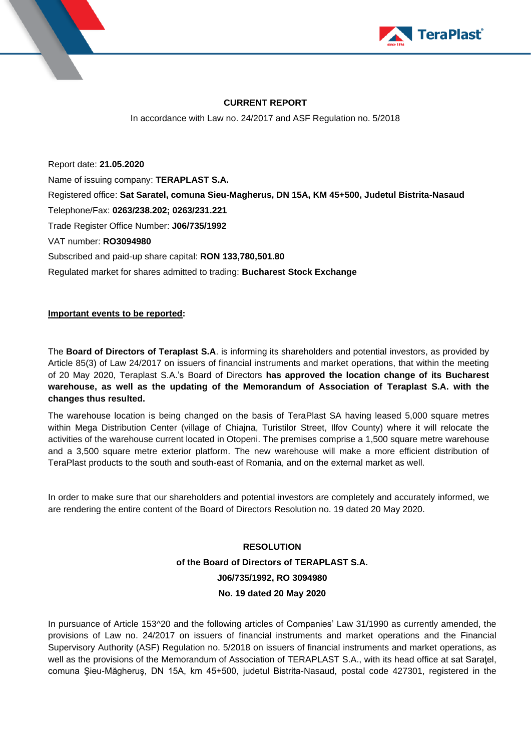



### **CURRENT REPORT**

In accordance with Law no. 24/2017 and ASF Regulation no. 5/2018

Report date: **21.05.2020** Name of issuing company: **TERAPLAST S.A.** Registered office: **Sat Saratel, comuna Sieu-Magherus, DN 15A, KM 45+500, Judetul Bistrita-Nasaud** Telephone/Fax: **0263/238.202; 0263/231.221** Trade Register Office Number: **J06/735/1992** VAT number: **RO3094980** Subscribed and paid-up share capital: **RON 133,780,501.80** Regulated market for shares admitted to trading: **Bucharest Stock Exchange**

### **Important events to be reported:**

The **Board of Directors of Teraplast S.A**. is informing its shareholders and potential investors, as provided by Article 85(3) of Law 24/2017 on issuers of financial instruments and market operations, that within the meeting of 20 May 2020, Teraplast S.A.'s Board of Directors **has approved the location change of its Bucharest warehouse, as well as the updating of the Memorandum of Association of Teraplast S.A. with the changes thus resulted.**

The warehouse location is being changed on the basis of TeraPlast SA having leased 5,000 square metres within Mega Distribution Center (village of Chiajna, Turistilor Street, Ilfov County) where it will relocate the activities of the warehouse current located in Otopeni. The premises comprise a 1,500 square metre warehouse and a 3,500 square metre exterior platform. The new warehouse will make a more efficient distribution of TeraPlast products to the south and south-east of Romania, and on the external market as well.

In order to make sure that our shareholders and potential investors are completely and accurately informed, we are rendering the entire content of the Board of Directors Resolution no. 19 dated 20 May 2020.

# **RESOLUTION of the Board of Directors of TERAPLAST S.A. J06/735/1992, RO 3094980 No. 19 dated 20 May 2020**

In pursuance of Article 153^20 and the following articles of Companies' Law 31/1990 as currently amended, the provisions of Law no. 24/2017 on issuers of financial instruments and market operations and the Financial Supervisory Authority (ASF) Regulation no. 5/2018 on issuers of financial instruments and market operations, as well as the provisions of the Memorandum of Association of TERAPLAST S.A., with its head office at sat Saratel, comuna Şieu-Măgheruş, DN 15A, km 45+500, judetul Bistrita-Nasaud, postal code 427301, registered in the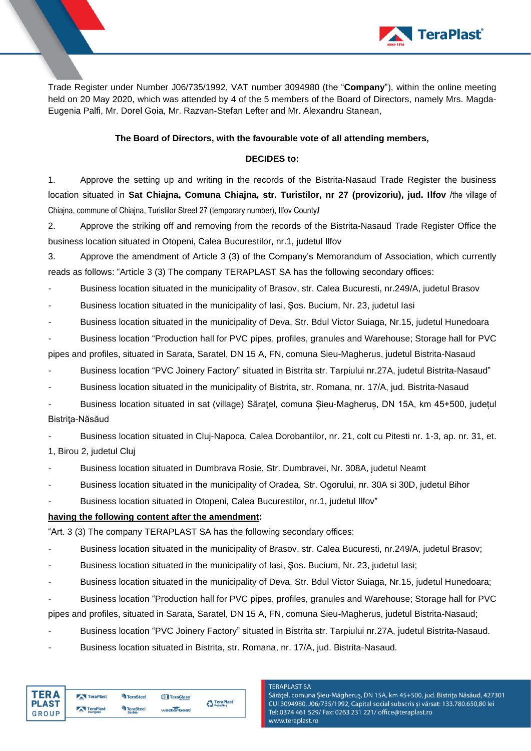

Trade Register under Number J06/735/1992, VAT number 3094980 (the "**Company**"), within the online meeting held on 20 May 2020, which was attended by 4 of the 5 members of the Board of Directors, namely Mrs. Magda-Eugenia Palfi, Mr. Dorel Goia, Mr. Razvan-Stefan Lefter and Mr. Alexandru Stanean,

#### **The Board of Directors, with the favourable vote of all attending members,**

#### **DECIDES to:**

1. Approve the setting up and writing in the records of the Bistrita-Nasaud Trade Register the business location situated in **Sat Chiajna, Comuna Chiajna, str. Turistilor, nr 27 (provizoriu), jud. Ilfov** /the village of Chiajna, commune of Chiajna, Turistilor Street 27 (temporary number), Ilfov County**/**

2. Approve the striking off and removing from the records of the Bistrita-Nasaud Trade Register Office the business location situated in Otopeni, Calea Bucurestilor, nr.1, judetul Ilfov

3. Approve the amendment of Article 3 (3) of the Company's Memorandum of Association, which currently reads as follows: "Article 3 (3) The company TERAPLAST SA has the following secondary offices:

- Business location situated in the municipality of Brasov, str. Calea Bucuresti, nr.249/A, judetul Brasov

Business location situated in the municipality of Iasi, Şos. Bucium, Nr. 23, judetul Iasi

Business location situated in the municipality of Deva, Str. Bdul Victor Suiaga, Nr.15, judetul Hunedoara

Business location "Production hall for PVC pipes, profiles, granules and Warehouse; Storage hall for PVC pipes and profiles, situated in Sarata, Saratel, DN 15 A, FN, comuna Sieu-Magherus, judetul Bistrita-Nasaud

- Business location "PVC Joinery Factory" situated in Bistrita str. Tarpiului nr.27A, judetul Bistrita-Nasaud"

Business location situated in the municipality of Bistrita, str. Romana, nr. 17/A, jud. Bistrita-Nasaud

Business location situated in sat (village) Sărațel, comuna Șieu-Magheruș, DN 15A, km 45+500, județul Bistriţa-Năsăud

Business location situated in Cluj-Napoca, Calea Dorobantilor, nr. 21, colt cu Pitesti nr. 1-3, ap. nr. 31, et.

1, Birou 2, judetul Cluj

- Business location situated in Dumbrava Rosie, Str. Dumbravei, Nr. 308A, judetul Neamt

- Business location situated in the municipality of Oradea, Str. Ogorului, nr. 30A si 30D, judetul Bihor

Business location situated in Otopeni, Calea Bucurestilor, nr.1, judetul Ilfov"

### **having the following content after the amendment:**

"Art. 3 (3) The company TERAPLAST SA has the following secondary offices:

- Business location situated in the municipality of Brasov, str. Calea Bucuresti, nr.249/A, judetul Brasov;
- Business location situated in the municipality of Iasi, Sos. Bucium, Nr. 23, judetul Iasi;
- Business location situated in the municipality of Deva, Str. Bdul Victor Suiaga, Nr.15, judetul Hunedoara;
- Business location "Production hall for PVC pipes, profiles, granules and Warehouse; Storage hall for PVC

pipes and profiles, situated in Sarata, Saratel, DN 15 A, FN, comuna Sieu-Magherus, judetul Bistrita-Nasaud;

- Business location "PVC Joinery Factory" situated in Bistrita str. Tarpiului nr.27A, judetul Bistrita-Nasaud.
- Business location situated in Bistrita, str. Romana, nr. 17/A, jud. Bistrita-Nasaud.

| <b>TFRA</b>           | TeraPlast            | <b>TeraSteel</b>                  | TeraGlass  | <b>A</b> TeraPlast |
|-----------------------|----------------------|-----------------------------------|------------|--------------------|
| <b>PLAST</b><br>GROUP | TeraPlast<br>Hungary | <b>TeraSteel</b><br><b>Serbia</b> | wetterbest | Recycling          |

#### **TERAPLAST SA**

Sărățel, comuna Șieu-Măgheruș, DN 15A, km 45+500, jud. Bistrița Năsăud, 427301 CUI 3094980, J06/735/1992, Capital social subscris și vărsat: 133.780.650,80 lei Tel: 0374 461 529/ Fax: 0263 231 221/ office@teraplast.ro www.teraplast.ro